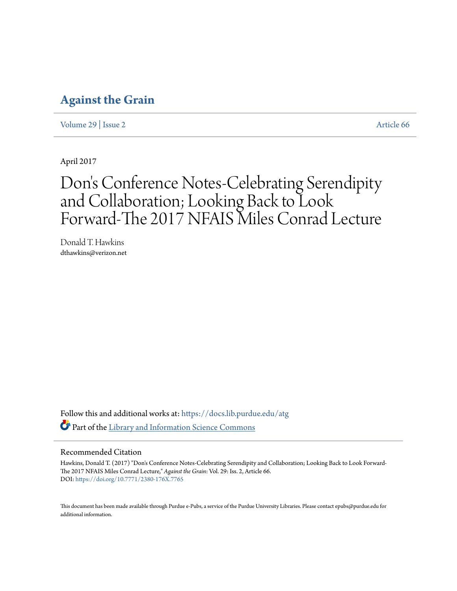## **[Against the Grain](https://docs.lib.purdue.edu/atg?utm_source=docs.lib.purdue.edu%2Fatg%2Fvol29%2Fiss2%2F66&utm_medium=PDF&utm_campaign=PDFCoverPages)**

[Volume 29](https://docs.lib.purdue.edu/atg/vol29?utm_source=docs.lib.purdue.edu%2Fatg%2Fvol29%2Fiss2%2F66&utm_medium=PDF&utm_campaign=PDFCoverPages) | [Issue 2](https://docs.lib.purdue.edu/atg/vol29/iss2?utm_source=docs.lib.purdue.edu%2Fatg%2Fvol29%2Fiss2%2F66&utm_medium=PDF&utm_campaign=PDFCoverPages) [Article 66](https://docs.lib.purdue.edu/atg/vol29/iss2/66?utm_source=docs.lib.purdue.edu%2Fatg%2Fvol29%2Fiss2%2F66&utm_medium=PDF&utm_campaign=PDFCoverPages)

April 2017

## Don 's Conference Notes-Celebrating Serendipity and Collaboration; Looking Back to Look Forward-The 2017 NFAIS Miles Conrad Lecture

Donald T. Hawkins dthawkins@verizon.net

Follow this and additional works at: [https://docs.lib.purdue.edu/atg](https://docs.lib.purdue.edu/atg?utm_source=docs.lib.purdue.edu%2Fatg%2Fvol29%2Fiss2%2F66&utm_medium=PDF&utm_campaign=PDFCoverPages) Part of the [Library and Information Science Commons](http://network.bepress.com/hgg/discipline/1018?utm_source=docs.lib.purdue.edu%2Fatg%2Fvol29%2Fiss2%2F66&utm_medium=PDF&utm_campaign=PDFCoverPages)

## Recommended Citation

Hawkins, Donald T. (2017) "Don's Conference Notes-Celebrating Serendipity and Collaboration; Looking Back to Look Forward-The 2017 NFAIS Miles Conrad Lecture," *Against the Grain*: Vol. 29: Iss. 2, Article 66. DOI: <https://doi.org/10.7771/2380-176X.7765>

This document has been made available through Purdue e-Pubs, a service of the Purdue University Libraries. Please contact epubs@purdue.edu for additional information.